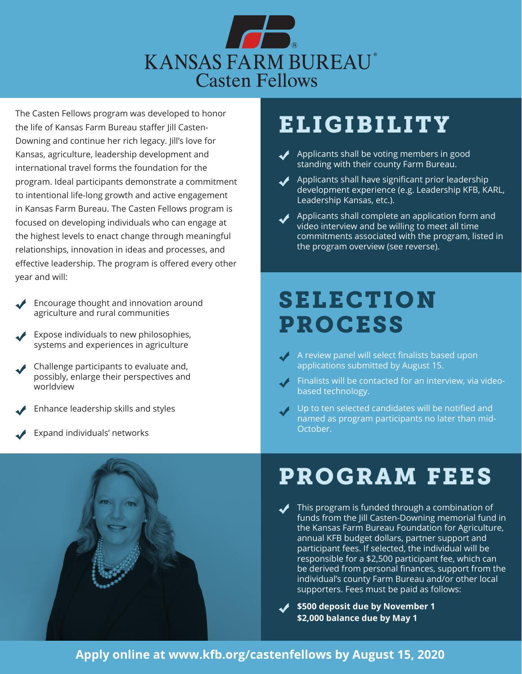

The Casten Fellows program was developed to honor the life of Kansas Farm Bureau staffer Jill Casten-Downing and continue her rich legacy. Jill's love for Kansas, agriculture, leadership development and international travel forms the foundation for the program. Ideal participants demonstrate a commitment to intentional life-long growth and active engagement in Kansas Farm Bureau. The Casten Fellows program is focused on developing individuals who can engage at the highest levels to enact change through meaningful relationships, innovation in ideas and processes, and effective leadership. The program is offered every other year and will:

- Encourage thought and innovation around agriculture and rural communities
- Expose individuals to new philosophies, systems and experiences in agriculture
- Challenge participants to evaluate and, possibly, enlarge their perspectives and worldview
- Enhance leadership skills and styles
- Expand individuals' networks



## **ELIGIBILITY**

- Applicants shall be voting members in good standing with their county Farm Bureau.
- $\blacktriangleright$  Applicants shall have significant prior leadership development experience (e.g. Leadership KFB, KARL, Leadership Kansas, etc.).
- Applicants shall complete an application form and video interview and be willing to meet all time commitments associated with the program, listed in the program overview (see reverse).

### SELECTION PROCESS

- $\sqrt{ }$  A review panel will select finalists based upon applications submitted by August 15.
- $\sqrt{\phantom{a}}$  Finalists will be contacted for an interview, via videobased technology.
- $\sqrt{ }$  Up to ten selected candidates will be notified and named as program participants no later than mid-October.

### PROGRAM FEES

This program is funded through a combination of funds from the Jill Casten-Downing memorial fund in the Kansas Farm Bureau Foundation for Agriculture, annual KFB budget dollars, partner support and participant fees. If selected, the individual will be responsible for a \$2,500 participant fee, which can be derived from personal finances, support from the individual's county Farm Bureau and/or other local supporters. Fees must be paid as follows:

**\$500 deposit due by November 1 \$2,000 balance due by May 1**

### **Apply online at www.kfb.org/castenfellows by August 15, 2020**